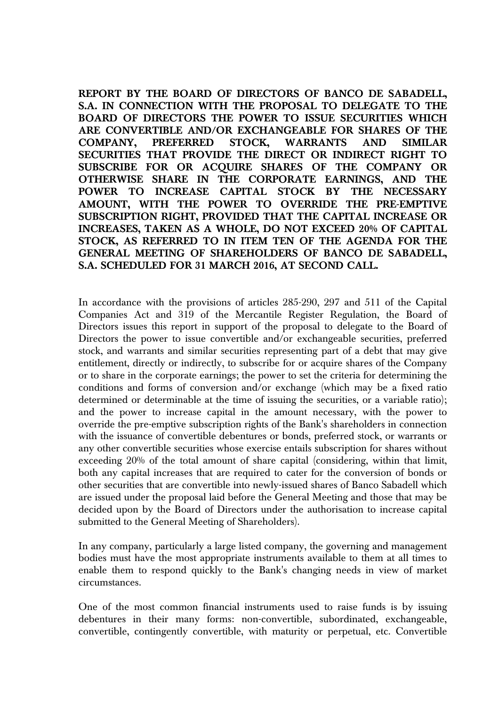**REPORT BY THE BOARD OF DIRECTORS OF BANCO DE SABADELL, S.A. IN CONNECTION WITH THE PROPOSAL TO DELEGATE TO THE BOARD OF DIRECTORS THE POWER TO ISSUE SECURITIES WHICH ARE CONVERTIBLE AND/OR EXCHANGEABLE FOR SHARES OF THE COMPANY, PREFERRED STOCK, WARRANTS AND SIMILAR SECURITIES THAT PROVIDE THE DIRECT OR INDIRECT RIGHT TO SUBSCRIBE FOR OR ACQUIRE SHARES OF THE COMPANY OR OTHERWISE SHARE IN THE CORPORATE EARNINGS, AND THE POWER TO INCREASE CAPITAL STOCK BY THE NECESSARY AMOUNT, WITH THE POWER TO OVERRIDE THE PRE-EMPTIVE SUBSCRIPTION RIGHT, PROVIDED THAT THE CAPITAL INCREASE OR INCREASES, TAKEN AS A WHOLE, DO NOT EXCEED 20% OF CAPITAL STOCK, AS REFERRED TO IN ITEM TEN OF THE AGENDA FOR THE GENERAL MEETING OF SHAREHOLDERS OF BANCO DE SABADELL, S.A. SCHEDULED FOR 31 MARCH 2016, AT SECOND CALL.** 

In accordance with the provisions of articles 285-290, 297 and 511 of the Capital Companies Act and 319 of the Mercantile Register Regulation, the Board of Directors issues this report in support of the proposal to delegate to the Board of Directors the power to issue convertible and/or exchangeable securities, preferred stock, and warrants and similar securities representing part of a debt that may give entitlement, directly or indirectly, to subscribe for or acquire shares of the Company or to share in the corporate earnings; the power to set the criteria for determining the conditions and forms of conversion and/or exchange (which may be a fixed ratio determined or determinable at the time of issuing the securities, or a variable ratio); and the power to increase capital in the amount necessary, with the power to override the pre-emptive subscription rights of the Bank's shareholders in connection with the issuance of convertible debentures or bonds, preferred stock, or warrants or any other convertible securities whose exercise entails subscription for shares without exceeding 20% of the total amount of share capital (considering, within that limit, both any capital increases that are required to cater for the conversion of bonds or other securities that are convertible into newly-issued shares of Banco Sabadell which are issued under the proposal laid before the General Meeting and those that may be decided upon by the Board of Directors under the authorisation to increase capital submitted to the General Meeting of Shareholders).

In any company, particularly a large listed company, the governing and management bodies must have the most appropriate instruments available to them at all times to enable them to respond quickly to the Bank's changing needs in view of market circumstances.

One of the most common financial instruments used to raise funds is by issuing debentures in their many forms: non-convertible, subordinated, exchangeable, convertible, contingently convertible, with maturity or perpetual, etc. Convertible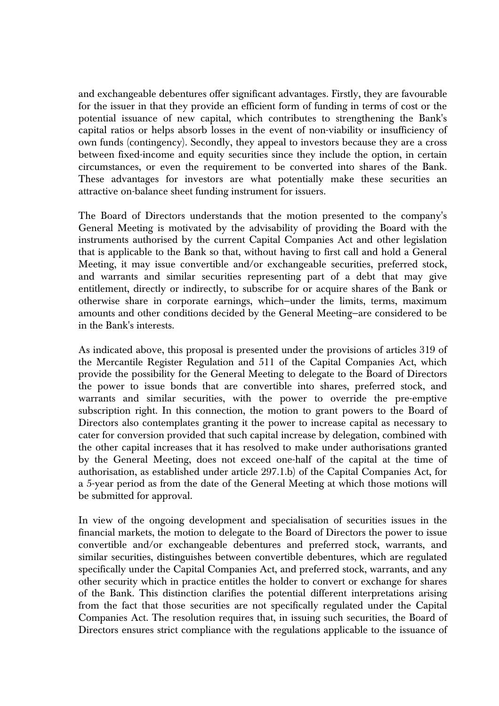and exchangeable debentures offer significant advantages. Firstly, they are favourable for the issuer in that they provide an efficient form of funding in terms of cost or the potential issuance of new capital, which contributes to strengthening the Bank's capital ratios or helps absorb losses in the event of non-viability or insufficiency of own funds (contingency). Secondly, they appeal to investors because they are a cross between fixed-income and equity securities since they include the option, in certain circumstances, or even the requirement to be converted into shares of the Bank. These advantages for investors are what potentially make these securities an attractive on-balance sheet funding instrument for issuers.

The Board of Directors understands that the motion presented to the company's General Meeting is motivated by the advisability of providing the Board with the instruments authorised by the current Capital Companies Act and other legislation that is applicable to the Bank so that, without having to first call and hold a General Meeting, it may issue convertible and/or exchangeable securities, preferred stock, and warrants and similar securities representing part of a debt that may give entitlement, directly or indirectly, to subscribe for or acquire shares of the Bank or otherwise share in corporate earnings, which—under the limits, terms, maximum amounts and other conditions decided by the General Meeting—are considered to be in the Bank's interests.

As indicated above, this proposal is presented under the provisions of articles 319 of the Mercantile Register Regulation and 511 of the Capital Companies Act, which provide the possibility for the General Meeting to delegate to the Board of Directors the power to issue bonds that are convertible into shares, preferred stock, and warrants and similar securities, with the power to override the pre-emptive subscription right. In this connection, the motion to grant powers to the Board of Directors also contemplates granting it the power to increase capital as necessary to cater for conversion provided that such capital increase by delegation, combined with the other capital increases that it has resolved to make under authorisations granted by the General Meeting, does not exceed one-half of the capital at the time of authorisation, as established under article 297.1.b) of the Capital Companies Act, for a 5-year period as from the date of the General Meeting at which those motions will be submitted for approval.

In view of the ongoing development and specialisation of securities issues in the financial markets, the motion to delegate to the Board of Directors the power to issue convertible and/or exchangeable debentures and preferred stock, warrants, and similar securities, distinguishes between convertible debentures, which are regulated specifically under the Capital Companies Act, and preferred stock, warrants, and any other security which in practice entitles the holder to convert or exchange for shares of the Bank. This distinction clarifies the potential different interpretations arising from the fact that those securities are not specifically regulated under the Capital Companies Act. The resolution requires that, in issuing such securities, the Board of Directors ensures strict compliance with the regulations applicable to the issuance of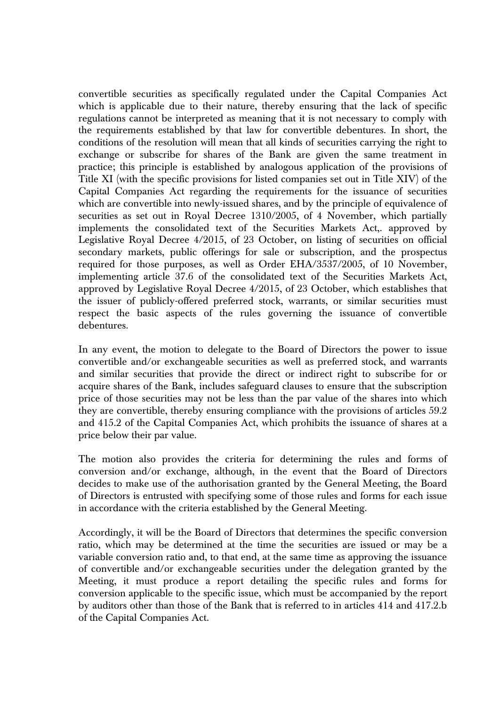convertible securities as specifically regulated under the Capital Companies Act which is applicable due to their nature, thereby ensuring that the lack of specific regulations cannot be interpreted as meaning that it is not necessary to comply with the requirements established by that law for convertible debentures. In short, the conditions of the resolution will mean that all kinds of securities carrying the right to exchange or subscribe for shares of the Bank are given the same treatment in practice; this principle is established by analogous application of the provisions of Title XI (with the specific provisions for listed companies set out in Title XIV) of the Capital Companies Act regarding the requirements for the issuance of securities which are convertible into newly-issued shares, and by the principle of equivalence of securities as set out in Royal Decree 1310/2005, of 4 November, which partially implements the consolidated text of the Securities Markets Act,. approved by Legislative Royal Decree 4/2015, of 23 October, on listing of securities on official secondary markets, public offerings for sale or subscription, and the prospectus required for those purposes, as well as Order EHA/3537/2005, of 10 November, implementing article 37.6 of the consolidated text of the Securities Markets Act, approved by Legislative Royal Decree 4/2015, of 23 October, which establishes that the issuer of publicly-offered preferred stock, warrants, or similar securities must respect the basic aspects of the rules governing the issuance of convertible debentures.

In any event, the motion to delegate to the Board of Directors the power to issue convertible and/or exchangeable securities as well as preferred stock, and warrants and similar securities that provide the direct or indirect right to subscribe for or acquire shares of the Bank, includes safeguard clauses to ensure that the subscription price of those securities may not be less than the par value of the shares into which they are convertible, thereby ensuring compliance with the provisions of articles 59.2 and 415.2 of the Capital Companies Act, which prohibits the issuance of shares at a price below their par value.

The motion also provides the criteria for determining the rules and forms of conversion and/or exchange, although, in the event that the Board of Directors decides to make use of the authorisation granted by the General Meeting, the Board of Directors is entrusted with specifying some of those rules and forms for each issue in accordance with the criteria established by the General Meeting.

Accordingly, it will be the Board of Directors that determines the specific conversion ratio, which may be determined at the time the securities are issued or may be a variable conversion ratio and, to that end, at the same time as approving the issuance of convertible and/or exchangeable securities under the delegation granted by the Meeting, it must produce a report detailing the specific rules and forms for conversion applicable to the specific issue, which must be accompanied by the report by auditors other than those of the Bank that is referred to in articles 414 and 417.2.b of the Capital Companies Act.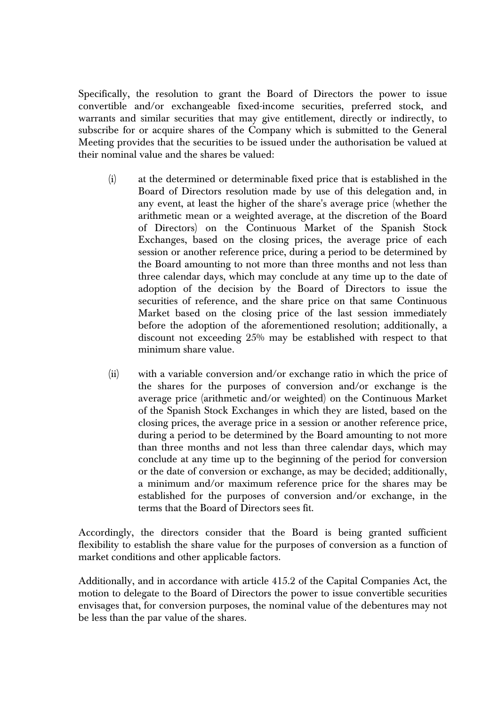Specifically, the resolution to grant the Board of Directors the power to issue convertible and/or exchangeable fixed-income securities, preferred stock, and warrants and similar securities that may give entitlement, directly or indirectly, to subscribe for or acquire shares of the Company which is submitted to the General Meeting provides that the securities to be issued under the authorisation be valued at their nominal value and the shares be valued:

- (i) at the determined or determinable fixed price that is established in the Board of Directors resolution made by use of this delegation and, in any event, at least the higher of the share's average price (whether the arithmetic mean or a weighted average, at the discretion of the Board of Directors) on the Continuous Market of the Spanish Stock Exchanges, based on the closing prices, the average price of each session or another reference price, during a period to be determined by the Board amounting to not more than three months and not less than three calendar days, which may conclude at any time up to the date of adoption of the decision by the Board of Directors to issue the securities of reference, and the share price on that same Continuous Market based on the closing price of the last session immediately before the adoption of the aforementioned resolution; additionally, a discount not exceeding 25% may be established with respect to that minimum share value.
- (ii) with a variable conversion and/or exchange ratio in which the price of the shares for the purposes of conversion and/or exchange is the average price (arithmetic and/or weighted) on the Continuous Market of the Spanish Stock Exchanges in which they are listed, based on the closing prices, the average price in a session or another reference price, during a period to be determined by the Board amounting to not more than three months and not less than three calendar days, which may conclude at any time up to the beginning of the period for conversion or the date of conversion or exchange, as may be decided; additionally, a minimum and/or maximum reference price for the shares may be established for the purposes of conversion and/or exchange, in the terms that the Board of Directors sees fit.

Accordingly, the directors consider that the Board is being granted sufficient flexibility to establish the share value for the purposes of conversion as a function of market conditions and other applicable factors.

Additionally, and in accordance with article 415.2 of the Capital Companies Act, the motion to delegate to the Board of Directors the power to issue convertible securities envisages that, for conversion purposes, the nominal value of the debentures may not be less than the par value of the shares.